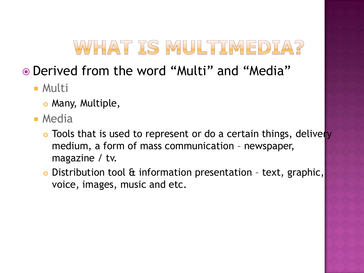# WHAT IS MULTIMEDIA?

#### Derived from the word "Multi" and "Media"

- Multi
	- o Many, Multiple,
- **E** Media
	- o Tools that is used to represent or do a certain things, delivery medium, a form of mass communication – newspaper, magazine / tv.
	- Distribution tool & information presentation text, graphic, voice, images, music and etc.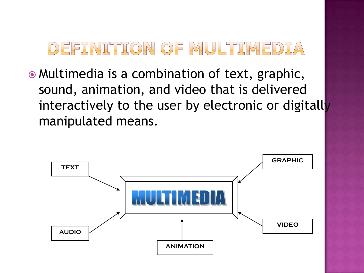## DEFINITION OF MULTIMEDIA

 Multimedia is a combination of text, graphic, sound, animation, and video that is delivered interactively to the user by electronic or digitally manipulated means.

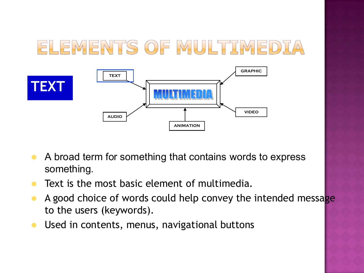#### ELEMENTS OF MULTIMEDIA **GRAPHIC TEXT TEXT VIDEO AUDIO ANIMATION**

- A broad term for something that contains words to express something.
- **Text is the most basic element of multimedia.**
- A good choice of words could help convey the intended message to the users (keywords).
- **Used in contents, menus, navigational buttons**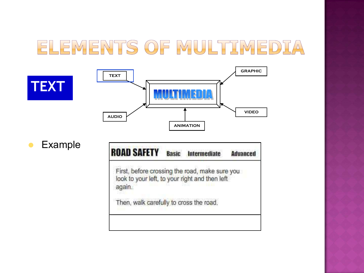

Example

**TEXT**

| <b>OAD SAFETY</b>                                                                                          | <b>Basic</b> | <b>Intermediate</b>                     | <b>Advanced</b> |
|------------------------------------------------------------------------------------------------------------|--------------|-----------------------------------------|-----------------|
| First, before crossing the road, make sure you<br>look to your left, to your right and then left<br>again. |              |                                         |                 |
|                                                                                                            |              | Then, walk carefully to cross the road. |                 |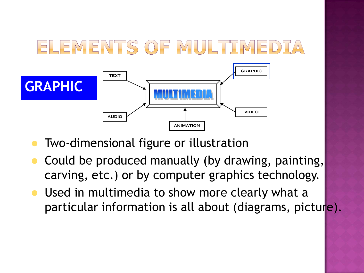

- **Two-dimensional figure or illustration**
- Could be produced manually (by drawing, painting, carving, etc.) or by computer graphics technology.
- **Used in multimedia to show more clearly what a** particular information is all about (diagrams, picture).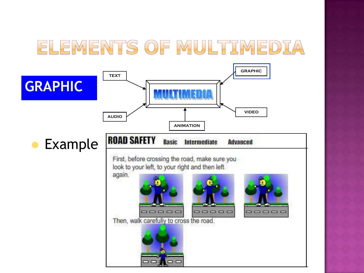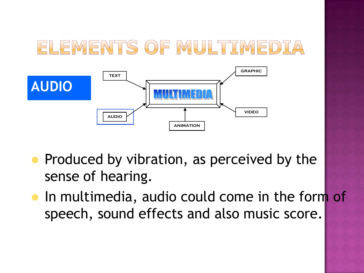

- Produced by vibration, as perceived by the sense of hearing.
- **In multimedia, audio could come in the form of** speech, sound effects and also music score.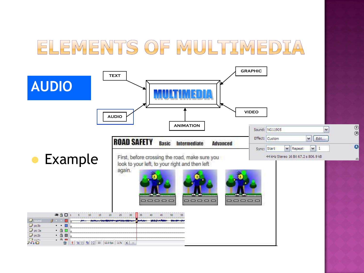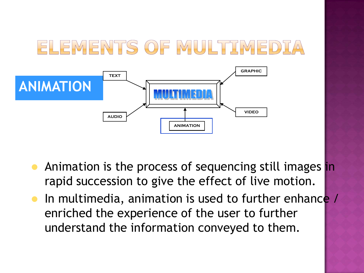

- Animation is the process of sequencing still images in rapid succession to give the effect of live motion.
- In multimedia, animation is used to further enhance / enriched the experience of the user to further understand the information conveyed to them.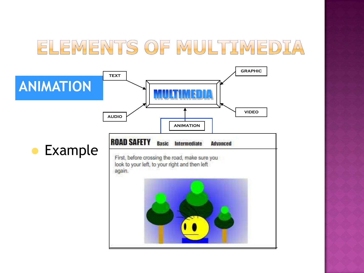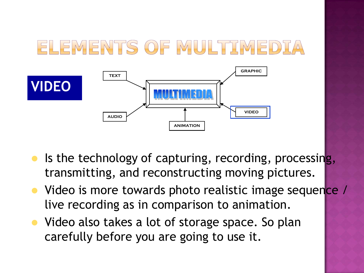

- $\bullet$  Is the technology of capturing, recording, processing, transmitting, and reconstructing moving pictures.
- Video is more towards photo realistic image sequence / live recording as in comparison to animation.
- Video also takes a lot of storage space. So plan carefully before you are going to use it.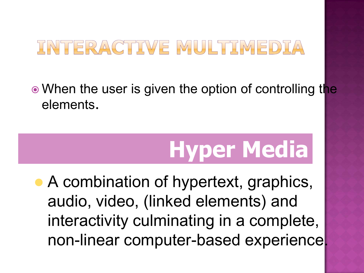## INTERACTIVE MULTIMEDIA

• When the user is given the option of controlling the elements.

# **Hyper Media**

• A combination of hypertext, graphics, audio, video, (linked elements) and interactivity culminating in a complete, non-linear computer-based experience.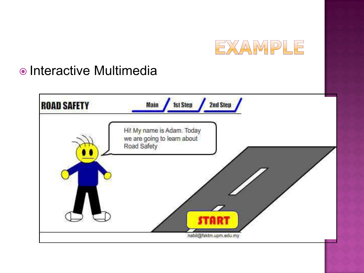

#### • Interactive Multimedia

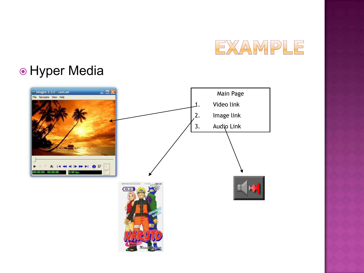

#### **• Hyper Media**

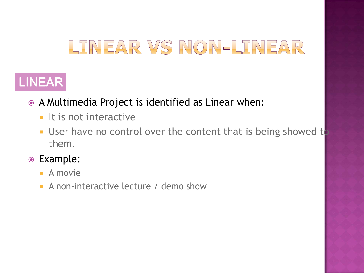# LINEAR VS NON-LINEAR

#### LINEAR

- A Multimedia Project is identified as Linear when:
	- $\blacksquare$  It is not interactive
	- **User have no control over the content that is being showed to** them.
- Example:
	- $\blacksquare$  A movie
	- A non-interactive lecture / demo show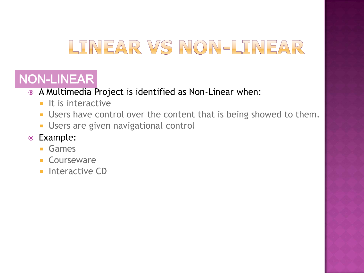# LINEAR VS NON-LINEAR

#### NON-LINEAR

- A Multimedia Project is identified as Non-Linear when:
	- $\blacksquare$  It is interactive
	- **Users have control over the content that is being showed to them.**
	- **Users are given navigational control**
- Example:
	- **Games**
	- **Courseware**
	- **Interactive CD**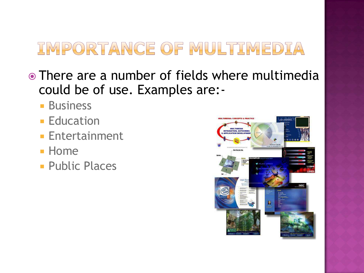- There are a number of fields where multimedia could be of use. Examples are:-
	- **Business**
	- **Education**
	- **Entertainment**
	- **Home**
	- **Public Places**

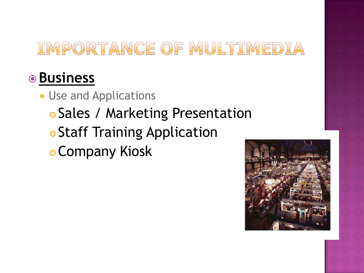#### **Business**

**Use and Applications**  Sales / Marketing Presentation **o Staff Training Application** Company Kiosk

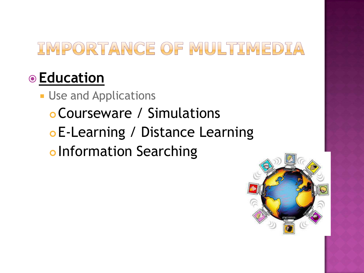## **Education**

- **Use and Applications** 
	- Courseware / Simulations E-Learning / Distance Learning
	- o Information Searching

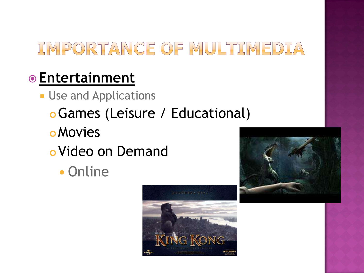## **Entertainment**

- **Use and Applications** 
	- Games (Leisure / Educational)
	- **o** Movies
	- Video on Demand
		- Online



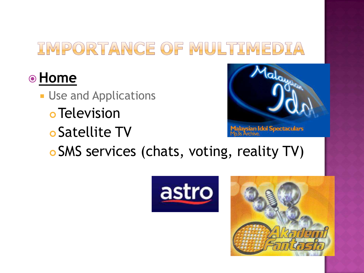## **Home**

- **Use and Applications** 
	- **o** Television
	- Satellite TV



SMS services (chats, voting, reality TV)